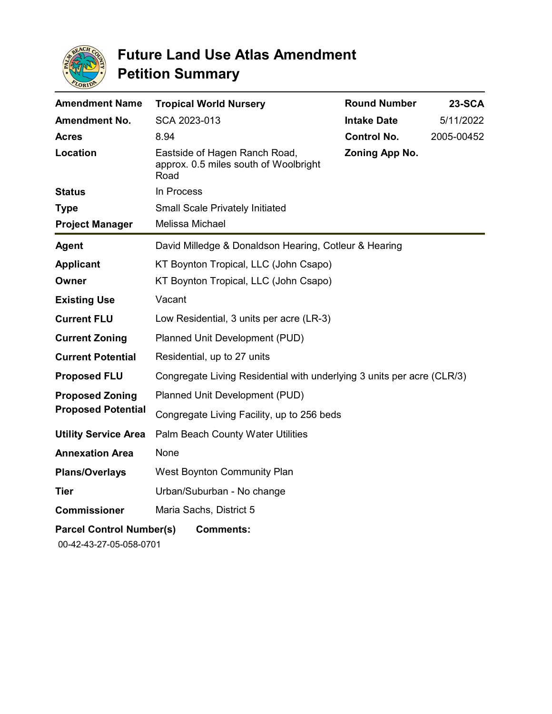

| <b>Amendment Name</b>                               | <b>Tropical World Nursery</b>                                                  | <b>Round Number</b> | <b>23-SCA</b> |
|-----------------------------------------------------|--------------------------------------------------------------------------------|---------------------|---------------|
| <b>Amendment No.</b>                                | SCA 2023-013                                                                   | <b>Intake Date</b>  | 5/11/2022     |
| <b>Acres</b>                                        | 8.94                                                                           | <b>Control No.</b>  | 2005-00452    |
| Location                                            | Eastside of Hagen Ranch Road,<br>approx. 0.5 miles south of Woolbright<br>Road | Zoning App No.      |               |
| <b>Status</b>                                       | In Process                                                                     |                     |               |
| <b>Type</b>                                         | <b>Small Scale Privately Initiated</b>                                         |                     |               |
| <b>Project Manager</b>                              | Melissa Michael                                                                |                     |               |
| Agent                                               | David Milledge & Donaldson Hearing, Cotleur & Hearing                          |                     |               |
| <b>Applicant</b>                                    | KT Boynton Tropical, LLC (John Csapo)                                          |                     |               |
| Owner                                               | KT Boynton Tropical, LLC (John Csapo)                                          |                     |               |
| <b>Existing Use</b>                                 | Vacant                                                                         |                     |               |
| <b>Current FLU</b>                                  | Low Residential, 3 units per acre (LR-3)                                       |                     |               |
| <b>Current Zoning</b>                               | Planned Unit Development (PUD)                                                 |                     |               |
| <b>Current Potential</b>                            | Residential, up to 27 units                                                    |                     |               |
| <b>Proposed FLU</b>                                 | Congregate Living Residential with underlying 3 units per acre (CLR/3)         |                     |               |
| <b>Proposed Zoning</b><br><b>Proposed Potential</b> | Planned Unit Development (PUD)                                                 |                     |               |
|                                                     | Congregate Living Facility, up to 256 beds                                     |                     |               |
| <b>Utility Service Area</b>                         | Palm Beach County Water Utilities                                              |                     |               |
| <b>Annexation Area</b>                              | None                                                                           |                     |               |
| <b>Plans/Overlays</b>                               | West Boynton Community Plan                                                    |                     |               |
| <b>Tier</b>                                         | Urban/Suburban - No change                                                     |                     |               |
| <b>Commissioner</b>                                 | Maria Sachs, District 5                                                        |                     |               |
| <b>Parcel Control Number(s)</b>                     | <b>Comments:</b>                                                               |                     |               |
| 00-42-43-27-05-058-0701                             |                                                                                |                     |               |